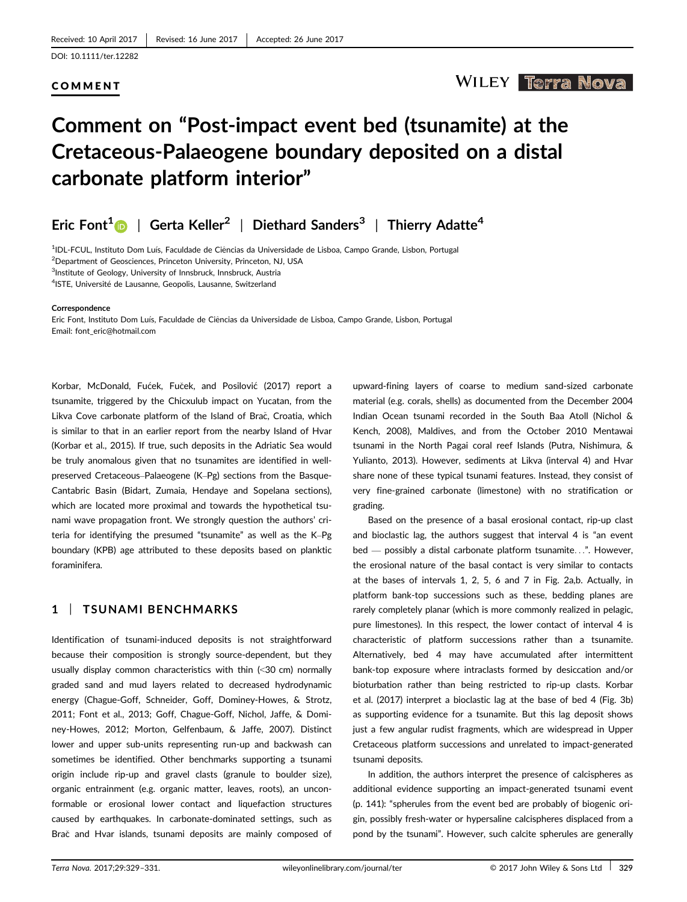#### COMMENT

## **WILEY Terra Nova**

# Comment on "Post-impact event bed (tsunamite) at the Cretaceous-Palaeogene boundary deposited on a distal carbonate platform interior"

# Eric Font<sup>1</sup> | Gerta Keller<sup>2</sup> | Diethard Sanders<sup>3</sup> | Thierry Adatte<sup>4</sup>

<sup>1</sup>IDL-FCUL, Instituto Dom Luís, Faculdade de Ciências da Universidade de Lisboa, Campo Grande, Lisbon, Portugal 2 Department of Geosciences, Princeton University, Princeton, NJ, USA 3 Institute of Geology, University of Innsbruck, Innsbruck, Austria

<sup>4</sup>ISTE, Université de Lausanne, Geopolis, Lausanne, Switzerland

#### **Correspondence**

Eric Font, Instituto Dom Luıs, Faculdade de Ciencias da Universidade de Lisboa, Campo Grande, Lisbon, Portugal ^ Email: font\_eric@hotmail.com

Korbar, McDonald, Fućek, Fuček, and Posilović (2017) report a tsunamite, triggered by the Chicxulub impact on Yucatan, from the Likva Cove carbonate platform of the Island of Brač, Croatia, which is similar to that in an earlier report from the nearby Island of Hvar (Korbar et al., 2015). If true, such deposits in the Adriatic Sea would be truly anomalous given that no tsunamites are identified in wellpreserved Cretaceous–Palaeogene (K–Pg) sections from the Basque-Cantabric Basin (Bidart, Zumaia, Hendaye and Sopelana sections), which are located more proximal and towards the hypothetical tsunami wave propagation front. We strongly question the authors' criteria for identifying the presumed "tsunamite" as well as the K–Pg boundary (KPB) age attributed to these deposits based on planktic foraminifera.

#### 1 | TSUNAMI BENCHMARKS

Identification of tsunami-induced deposits is not straightforward because their composition is strongly source-dependent, but they usually display common characteristics with thin (<30 cm) normally graded sand and mud layers related to decreased hydrodynamic energy (Chague-Goff, Schneider, Goff, Dominey-Howes, & Strotz, 2011; Font et al., 2013; Goff, Chague-Goff, Nichol, Jaffe, & Dominey-Howes, 2012; Morton, Gelfenbaum, & Jaffe, 2007). Distinct lower and upper sub-units representing run-up and backwash can sometimes be identified. Other benchmarks supporting a tsunami origin include rip-up and gravel clasts (granule to boulder size), organic entrainment (e.g. organic matter, leaves, roots), an unconformable or erosional lower contact and liquefaction structures caused by earthquakes. In carbonate-dominated settings, such as Brač and Hvar islands, tsunami deposits are mainly composed of upward-fining layers of coarse to medium sand-sized carbonate material (e.g. corals, shells) as documented from the December 2004 Indian Ocean tsunami recorded in the South Baa Atoll (Nichol & Kench, 2008), Maldives, and from the October 2010 Mentawai tsunami in the North Pagai coral reef Islands (Putra, Nishimura, & Yulianto, 2013). However, sediments at Likva (interval 4) and Hvar share none of these typical tsunami features. Instead, they consist of very fine-grained carbonate (limestone) with no stratification or grading.

Based on the presence of a basal erosional contact, rip-up clast and bioclastic lag, the authors suggest that interval 4 is "an event bed — possibly a distal carbonate platform tsunamite...". However, the erosional nature of the basal contact is very similar to contacts at the bases of intervals 1, 2, 5, 6 and 7 in Fig. 2a,b. Actually, in platform bank-top successions such as these, bedding planes are rarely completely planar (which is more commonly realized in pelagic, pure limestones). In this respect, the lower contact of interval 4 is characteristic of platform successions rather than a tsunamite. Alternatively, bed 4 may have accumulated after intermittent bank-top exposure where intraclasts formed by desiccation and/or bioturbation rather than being restricted to rip-up clasts. Korbar et al. (2017) interpret a bioclastic lag at the base of bed 4 (Fig. 3b) as supporting evidence for a tsunamite. But this lag deposit shows just a few angular rudist fragments, which are widespread in Upper Cretaceous platform successions and unrelated to impact-generated tsunami deposits.

In addition, the authors interpret the presence of calcispheres as additional evidence supporting an impact-generated tsunami event (p. 141): "spherules from the event bed are probably of biogenic origin, possibly fresh-water or hypersaline calcispheres displaced from a pond by the tsunami". However, such calcite spherules are generally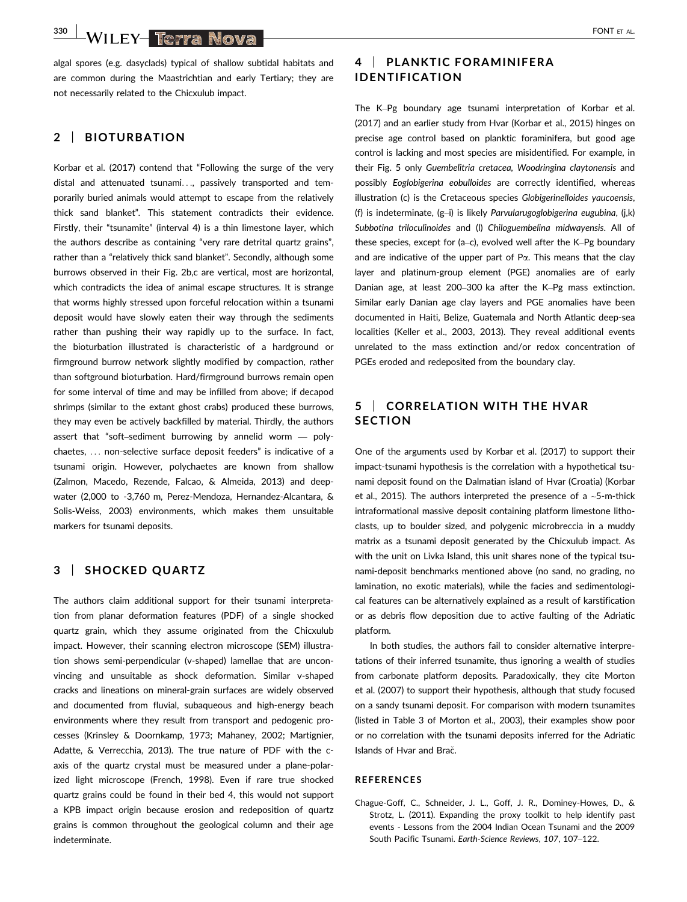$\frac{330}{10000}$  WILEY-Term Nova $\frac{1}{2}$ 

algal spores (e.g. dasyclads) typical of shallow subtidal habitats and are common during the Maastrichtian and early Tertiary; they are not necessarily related to the Chicxulub impact.

#### 2 | BIOTURBATION

Korbar et al. (2017) contend that "Following the surge of the very distal and attenuated tsunami..., passively transported and temporarily buried animals would attempt to escape from the relatively thick sand blanket". This statement contradicts their evidence. Firstly, their "tsunamite" (interval 4) is a thin limestone layer, which the authors describe as containing "very rare detrital quartz grains", rather than a "relatively thick sand blanket". Secondly, although some burrows observed in their Fig. 2b,c are vertical, most are horizontal, which contradicts the idea of animal escape structures. It is strange that worms highly stressed upon forceful relocation within a tsunami deposit would have slowly eaten their way through the sediments rather than pushing their way rapidly up to the surface. In fact, the bioturbation illustrated is characteristic of a hardground or firmground burrow network slightly modified by compaction, rather than softground bioturbation. Hard/firmground burrows remain open for some interval of time and may be infilled from above; if decapod shrimps (similar to the extant ghost crabs) produced these burrows, they may even be actively backfilled by material. Thirdly, the authors assert that "soft–sediment burrowing by annelid worm — polychaetes, ... non-selective surface deposit feeders" is indicative of a tsunami origin. However, polychaetes are known from shallow (Zalmon, Macedo, Rezende, Falcao, & Almeida, 2013) and deepwater (2,000 to -3,760 m, Perez-Mendoza, Hernandez-Alcantara, & Solis-Weiss, 2003) environments, which makes them unsuitable markers for tsunami deposits.

#### 3 | SHOCKED QUARTZ

The authors claim additional support for their tsunami interpretation from planar deformation features (PDF) of a single shocked quartz grain, which they assume originated from the Chicxulub impact. However, their scanning electron microscope (SEM) illustration shows semi-perpendicular (v-shaped) lamellae that are unconvincing and unsuitable as shock deformation. Similar v-shaped cracks and lineations on mineral-grain surfaces are widely observed and documented from fluvial, subaqueous and high-energy beach environments where they result from transport and pedogenic processes (Krinsley & Doornkamp, 1973; Mahaney, 2002; Martignier, Adatte, & Verrecchia, 2013). The true nature of PDF with the caxis of the quartz crystal must be measured under a plane-polarized light microscope (French, 1998). Even if rare true shocked quartz grains could be found in their bed 4, this would not support a KPB impact origin because erosion and redeposition of quartz grains is common throughout the geological column and their age indeterminate.

### 4 | PLANKTIC FORAMINIFERA IDENTIFICATION

The K–Pg boundary age tsunami interpretation of Korbar et al. (2017) and an earlier study from Hvar (Korbar et al., 2015) hinges on precise age control based on planktic foraminifera, but good age control is lacking and most species are misidentified. For example, in their Fig. 5 only Guembelitria cretacea, Woodringina claytonensis and possibly Eoglobigerina eobulloides are correctly identified, whereas illustration (c) is the Cretaceous species Globigerinelloides yaucoensis, (f) is indeterminate, (g–i) is likely Parvularugoglobigerina eugubina, (j,k) Subbotina triloculinoides and (l) Chiloguembelina midwayensis. All of these species, except for (a–c), evolved well after the K–Pg boundary and are indicative of the upper part of  $P\alpha$ . This means that the clay layer and platinum-group element (PGE) anomalies are of early Danian age, at least 200–300 ka after the K–Pg mass extinction. Similar early Danian age clay layers and PGE anomalies have been documented in Haiti, Belize, Guatemala and North Atlantic deep-sea localities (Keller et al., 2003, 2013). They reveal additional events unrelated to the mass extinction and/or redox concentration of PGEs eroded and redeposited from the boundary clay.

## 5 | CORRELATION WITH THE HVAR **SECTION**

One of the arguments used by Korbar et al. (2017) to support their impact-tsunami hypothesis is the correlation with a hypothetical tsunami deposit found on the Dalmatian island of Hvar (Croatia) (Korbar et al., 2015). The authors interpreted the presence of a  $\sim$ 5-m-thick intraformational massive deposit containing platform limestone lithoclasts, up to boulder sized, and polygenic microbreccia in a muddy matrix as a tsunami deposit generated by the Chicxulub impact. As with the unit on Livka Island, this unit shares none of the typical tsunami-deposit benchmarks mentioned above (no sand, no grading, no lamination, no exotic materials), while the facies and sedimentological features can be alternatively explained as a result of karstification or as debris flow deposition due to active faulting of the Adriatic platform.

In both studies, the authors fail to consider alternative interpretations of their inferred tsunamite, thus ignoring a wealth of studies from carbonate platform deposits. Paradoxically, they cite Morton et al. (2007) to support their hypothesis, although that study focused on a sandy tsunami deposit. For comparison with modern tsunamites (listed in Table 3 of Morton et al., 2003), their examples show poor or no correlation with the tsunami deposits inferred for the Adriatic Islands of Hvar and Brac.

#### REFERENCES

Chague-Goff, C., Schneider, J. L., Goff, J. R., Dominey-Howes, D., & Strotz, L. (2011). Expanding the proxy toolkit to help identify past events - Lessons from the 2004 Indian Ocean Tsunami and the 2009 South Pacific Tsunami. Earth-Science Reviews, 107, 107–122.